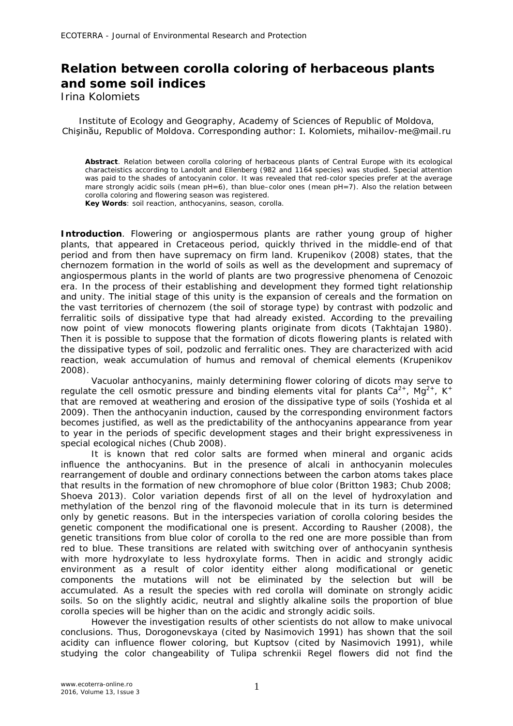## **Relation between corolla coloring of herbaceous plants and some soil indices**

Irina Kolomiets

Institute of Ecology and Geography, Academy of Sciences of Republic of Moldova, Chişinău, Republic of Moldova. Corresponding author: I. Kolomiets, mihailov-me@mail.ru

**Abstract**. Relation between corolla coloring of herbaceous plants of Central Europe with its ecological characteistics according to Landolt and Ellenberg (982 and 1164 species) was studied. Special attention was paid to the shades of antocyanin color. It was revealed that red-color species prefer at the average mare strongly acidic soils (mean pH=6), than blue–color ones (mean pH=7). Also the relation between corolla coloring and flowering season was registered. **Key Words**: soil reaction, anthocyanins, season, corolla.

**Introduction**. Flowering or angiospermous plants are rather young group of higher plants, that appeared in Cretaceous period, quickly thrived in the middle-end of that period and from then have supremacy on firm land. Krupenikov (2008) states, that the chernozem formation in the world of soils as well as the development and supremacy of angiospermous plants in the world of plants are two progressive phenomena of Cenozoic era. In the process of their establishing and development they formed tight relationship and unity. The initial stage of this unity is the expansion of cereals and the formation on the vast territories of chernozem (the soil of storage type) by contrast with podzolic and ferralitic soils of dissipative type that had already existed. According to the prevailing now point of view monocots flowering plants originate from dicots (Takhtajan 1980). Then it is possible to suppose that the formation of dicots flowering plants is related with the dissipative types of soil, podzolic and ferralitic ones. They are characterized with acid reaction, weak accumulation of humus and removal of chemical elements (Krupenikov 2008).

Vacuolar anthocyanins, mainly determining flower coloring of dicots may serve to regulate the cell osmotic pressure and binding elements vital for plants  $Ca^{2+}$ , Mg<sup>2+</sup>, K<sup>+</sup> that are removed at weathering and erosion of the dissipative type of soils (Yoshida et al 2009). Then the anthocyanin induction, caused by the corresponding environment factors becomes justified, as well as the predictability of the anthocyanins appearance from year to year in the periods of specific development stages and their bright expressiveness in special ecological niches (Chub 2008).

It is known that red color salts are formed when mineral and organic acids influence the anthocyanins. But in the presence of alcali in anthocyanin molecules rearrangement of double and ordinary connections between the carbon atoms takes place that results in the formation of new chromophore of blue color (Britton 1983; Chub 2008; Shoeva 2013). Color variation depends first of all on the level of hydroxylation and methylation of the benzol ring of the flavonoid molecule that in its turn is determined only by genetic reasons. But in the interspecies variation of corolla coloring besides the genetic component the modificational one is present. According to Rausher (2008), the genetic transitions from blue color of corolla to the red one are more possible than from red to blue. These transitions are related with switching over of anthocyanin synthesis with more hydroxylate to less hydroxylate forms. Then in acidic and strongly acidic environment as a result of color identity either along modificational or genetic components the mutations will not be eliminated by the selection but will be accumulated. As a result the species with red corolla will dominate on strongly acidic soils. So on the slightly acidic, neutral and slightly alkaline soils the proportion of blue corolla species will be higher than on the acidic and strongly acidic soils.

However the investigation results of other scientists do not allow to make univocal conclusions. Thus, Dorogonevskaya (cited by Nasimovich 1991) has shown that the soil acidity can influence flower coloring, but Kuptsov (cited by Nasimovich 1991), while studying the color changeability of *Tulipa schrenkii* Regel flowers did not find the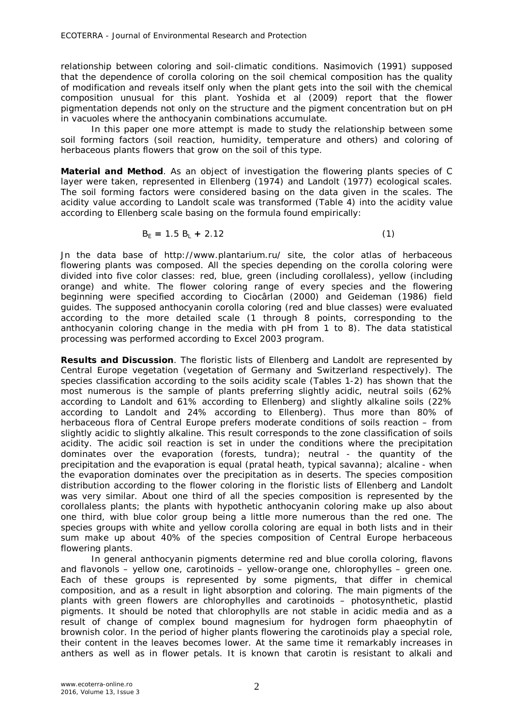relationship between coloring and soil-climatic conditions. Nasimovich (1991) supposed that the dependence of corolla coloring on the soil chemical composition has the quality of modification and reveals itself only when the plant gets into the soil with the chemical composition unusual for this plant. Yoshida et al (2009) report that the flower pigmentation depends not only on the structure and the pigment concentration but on pH in vacuoles where the anthocyanin combinations accumulate.

In this paper one more attempt is made to study the relationship between some soil forming factors (soil reaction, humidity, temperature and others) and coloring of herbaceous plants flowers that grow on the soil of this type.

**Material and Method**. As an object of investigation the flowering plants species of C layer were taken, represented in Ellenberg (1974) and Landolt (1977) ecological scales. The soil forming factors were considered basing on the data given in the scales. The acidity value according to Landolt scale was transformed (Table 4) into the acidity value according to Ellenberg scale basing on the formula found empirically:

$$
B_E = 1.5 B_L + 2.12 \tag{1}
$$

Jn the data base of http://www.plantarium.ru/ site, the color atlas of herbaceous flowering plants was composed. All the species depending on the corolla coloring were divided into five color classes: red, blue, green (including corollaless), yellow (including orange) and white. The flower coloring range of every species and the flowering beginning were specified according to Ciocârlan (2000) and Geideman (1986) field guides. The supposed anthocyanin corolla coloring (red and blue classes) were evaluated according to the more detailed scale (1 through 8 points, corresponding to the anthocyanin coloring change in the media with pH from 1 to 8). The data statistical processing was performed according to Excel 2003 program.

**Results and Discussion**. The floristic lists of Ellenberg and Landolt are represented by Central Europe vegetation (vegetation of Germany and Switzerland respectively). The species classification according to the soils acidity scale (Tables 1-2) has shown that the most numerous is the sample of plants preferring slightly acidic, neutral soils (62% according to Landolt and 61% according to Ellenberg) and slightly alkaline soils (22% according to Landolt and 24% according to Ellenberg). Thus more than 80% of herbaceous flora of Central Europe prefers moderate conditions of soils reaction – from slightly acidic to slightly alkaline. This result corresponds to the zone classification of soils acidity. The acidic soil reaction is set in under the conditions where the precipitation dominates over the evaporation (forests, tundra); neutral - the quantity of the precipitation and the evaporation is equal (pratal heath, typical savanna); alcaline - when the evaporation dominates over the precipitation as in deserts. The species composition distribution according to the flower coloring in the floristic lists of Ellenberg and Landolt was very similar. About one third of all the species composition is represented by the corollaless plants; the plants with hypothetic anthocyanin coloring make up also about one third, with blue color group being a little more numerous than the red one. The species groups with white and yellow corolla coloring are equal in both lists and in their sum make up about 40% of the species composition of Central Europe herbaceous flowering plants.

In general anthocyanin pigments determine red and blue corolla coloring, flavons and flavonols – yellow one, carotinoids – yellow-orange one, chlorophylles – green one. Each of these groups is represented by some pigments, that differ in chemical composition, and as a result in light absorption and coloring. The main pigments of the plants with green flowers are chlorophylles and carotinoids – photosynthetic, plastid pigments. It should be noted that chlorophylls are not stable in acidic media and as a result of change of complex bound magnesium for hydrogen form phaeophytin of brownish color. In the period of higher plants flowering the carotinoids play a special role, their content in the leaves becomes lower. At the same time it remarkably increases in anthers as well as in flower petals. It is known that carotin is resistant to alkali and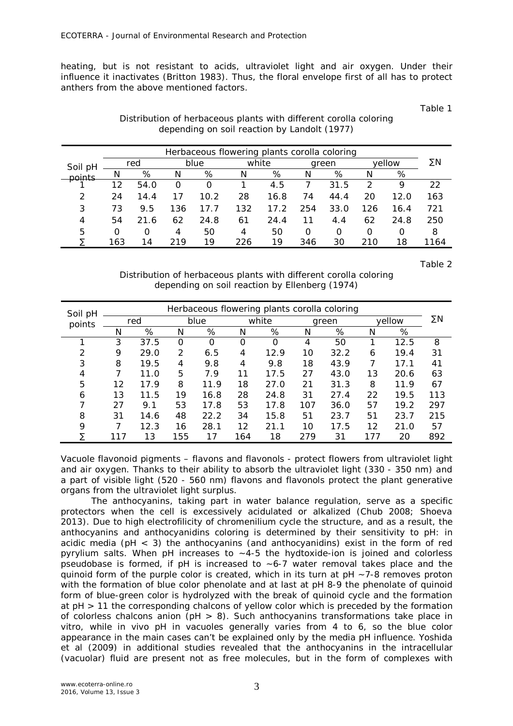heating, but is not resistant to acids, ultraviolet light and air oxygen. Under their influence it inactivates (Britton 1983). Thus, the floral envelope first of all has to protect anthers from the above mentioned factors.

Table 1

| Distribution of herbaceous plants with different corolla coloring |  |
|-------------------------------------------------------------------|--|
| depending on soil reaction by Landolt (1977)                      |  |

| Herbaceous flowering plants corolla coloring |     |      |     |      |     |       |     |       |        |      |      |
|----------------------------------------------|-----|------|-----|------|-----|-------|-----|-------|--------|------|------|
| Soil pH                                      |     | red  |     | blue |     | white |     | green | vellow |      | ΣN   |
| points                                       | N   | %    | Ν   | %    | Ν   | %     | N   | %     | Ν      | %    |      |
|                                              | 12  | 54.0 | O   | O    |     | 4.5   |     | 31.5  | 2      | Q    | 22   |
| 2                                            | 24  | 14.4 |     | 10.2 | 28  | 16.8  | 74  | 44.4  | 20     | 12.0 | 163  |
| 3                                            | 73  | 9.5  | 136 | 17.7 | 132 | 17.2  | 254 | 33.0  | 126    | 16.4 | 721  |
| 4                                            | 54  | 21.6 | 62  | 24.8 | 61  | 24.4  | 11  | 4.4   | 62     | 24.8 | 250  |
| 5                                            | O   | 0    | 4   | 50   | 4   | 50    | O   | 0     | O      | O    | 8    |
|                                              | 163 | 14   | 219 | 19   | 226 | 19    | 346 | 30    | 210    | 18   | 1164 |

Table 2

Distribution of herbaceous plants with different corolla coloring depending on soil reaction by Ellenberg (1974)

| Soil pH | Herbaceous flowering plants corolla coloring |      |     |          |     |       |     |       |     |        |     |
|---------|----------------------------------------------|------|-----|----------|-----|-------|-----|-------|-----|--------|-----|
| points  |                                              | red  |     | blue     |     | white |     | green |     | vellow |     |
|         | N                                            | %    | N   | %        | Ν   | %     | Ν   | %     | N   | %      |     |
|         | 3                                            | 37.5 | 0   | $\Omega$ | 0   | 0     | 4   | 50    |     | 12.5   | 8   |
| 2       | 9                                            | 29.0 | 2   | 6.5      | 4   | 12.9  | 10  | 32.2  | 6   | 19.4   | 31  |
| 3       | 8                                            | 19.5 | 4   | 9.8      | 4   | 9.8   | 18  | 43.9  | 7   | 17.1   | 41  |
| 4       |                                              | 11.0 | 5   | 7.9      | 11  | 17.5  | 27  | 43.0  | 13  | 20.6   | 63  |
| 5       | 12                                           | 17.9 | 8   | 11.9     | 18  | 27.0  | 21  | 31.3  | 8   | 11.9   | 67  |
| 6       | 13                                           | 11.5 | 19  | 16.8     | 28  | 24.8  | 31  | 27.4  | 22  | 19.5   | 113 |
| ᄀ       | 27                                           | 9.1  | 53  | 17.8     | 53  | 17.8  | 107 | 36.0  | 57  | 19.2   | 297 |
| 8       | 31                                           | 14.6 | 48  | 22.2     | 34  | 15.8  | 51  | 23.7  | 51  | 23.7   | 215 |
| 9       |                                              | 12.3 | 16  | 28.1     | 12  | 21.1  | 10  | 17.5  | 12  | 21.0   | 57  |
|         |                                              | 13   | 155 | 17       | 164 | 18    | 279 | 31    | 177 | 20     | 892 |

Vacuole flavonoid pigments – flavons and flavonols - protect flowers from ultraviolet light and air oxygen. Thanks to their ability to absorb the ultraviolet light (330 - 350 nm) and a part of visible light (520 - 560 nm) flavons and flavonols protect the plant generative organs from the ultraviolet light surplus.

The anthocyanins, taking part in water balance regulation, serve as a specific protectors when the cell is excessively acidulated or alkalized (Chub 2008; Shoeva 2013). Due to high electrofilicity of chromenilium cycle the structure, and as a result, the anthocyanins and anthocyanidins coloring is determined by their sensitivity to pH: in acidic media ( $pH < 3$ ) the anthocyanins (and anthocyanidins) exist in the form of red pyrylium salts. When pH increases to  $\sim$  4-5 the hydtoxide-ion is joined and colorless pseudobase is formed, if pH is increased to  $\sim$  6-7 water removal takes place and the quinoid form of the purple color is created, which in its turn at pH ~7-8 removes proton with the formation of blue color phenolate and at last at pH 8-9 the phenolate of quinoid form of blue-green color is hydrolyzed with the break of quinoid cycle and the formation at рН > 11 the corresponding chalcons of yellow color which is preceded by the formation of colorless chalcons anion ( $pH > 8$ ). Such anthocyanins transformations take place in vitro, while in vivo pH in vacuoles generally varies from 4 to 6, so the blue color appearance in the main cases can't be explained only by the media pH influence. Yoshida et al (2009) in additional studies revealed that the anthocyanins in the intracellular (vacuolar) fluid are present not as free molecules, but in the form of complexes with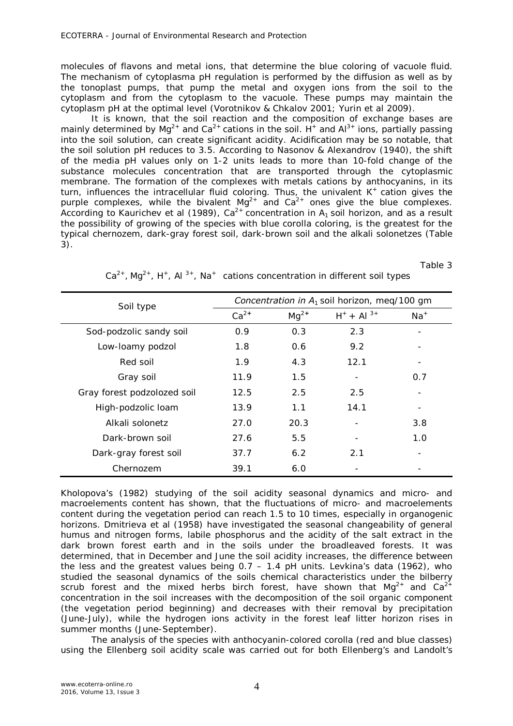molecules of flavons and metal ions, that determine the blue coloring of vacuole fluid. The mechanism of cytoplasma pH regulation is performed by the diffusion as well as by the tonoplast pumps, that pump the metal and oxygen ions from the soil to the cytoplasm and from the cytoplasm to the vacuole. These pumps may maintain the cytoplasm pH at the optimal level (Vorotnikov & Chkalov 2001; Yurin et al 2009).

It is known, that the soil reaction and the composition of exchange bases are mainly determined by Mg<sup>2+</sup> and Ca<sup>2+</sup> cations in the soil. H<sup>+</sup> and Al<sup>3+</sup> ions, partially passing into the soil solution, can create significant acidity. Acidification may be so notable, that the soil solution pH reduces to 3.5. According to Nasonov & Alexandrov (1940), the shift of the media pH values only on 1-2 units leads to more than 10-fold change of the substance molecules concentration that are transported through the cytoplasmic membrane. The formation of the complexes with metals cations by anthocyanins, in its turn, influences the intracellular fluid coloring. Thus, the univalent  $K^+$  cation gives the purple complexes, while the bivalent Mg<sup>2+</sup> and Ca<sup>2+</sup> ones give the blue complexes. According to Kaurichev et al (1989),  $Ca^{2+}$  concentration in  $A_1$  soil horizon, and as a result the possibility of growing of the species with blue corolla coloring, is the greatest for the typical chernozem, dark-gray forest soil, dark-brown soil and the alkali solonetzes (Table 3).

Table 3

| Soil type                   | Concentration in $A_1$ soil horizon, meq/100 gm |           |                 |       |  |  |
|-----------------------------|-------------------------------------------------|-----------|-----------------|-------|--|--|
|                             | $Ca^{2+}$                                       | $Mq^{2+}$ | $H^+ + Al^{3+}$ | $Na+$ |  |  |
| Sod-podzolic sandy soil     | 0.9                                             | 0.3       | 2.3             |       |  |  |
| Low-loamy podzol            | 1.8                                             | 0.6       | 9.2             |       |  |  |
| Red soil                    | 1.9                                             | 4.3       | 12.1            |       |  |  |
| Gray soil                   | 11.9                                            | 1.5       |                 | 0.7   |  |  |
| Gray forest podzolozed soil | 12.5                                            | 2.5       | 2.5             |       |  |  |
| High-podzolic loam          | 13.9                                            | 1.1       | 14.1            |       |  |  |
| Alkali solonetz             | 27.0                                            | 20.3      |                 | 3.8   |  |  |
| Dark-brown soil             | 27.6                                            | 5.5       |                 | 1.0   |  |  |
| Dark-gray forest soil       | 37.7                                            | 6.2       | 2.1             |       |  |  |
| Chernozem                   | 39.1                                            | 6.0       |                 |       |  |  |

 $Ca^{2+}$ , Mg<sup>2+</sup>, H<sup>+</sup>, Al<sup>3+</sup>, Na<sup>+</sup> cations concentration in different soil types

Kholopova's (1982) studying of the soil acidity seasonal dynamics and micro- and macroelements content has shown, that the fluctuations of micro- and macroelements content during the vegetation period can reach 1.5 to 10 times, especially in organogenic horizons. Dmitrieva et al (1958) have investigated the seasonal changeability of general humus and nitrogen forms, labile phosphorus and the acidity of the salt extract in the dark brown forest earth and in the soils under the broadleaved forests. It was determined, that in December and June the soil acidity increases, the difference between the less and the greatest values being 0.7 – 1.4 рН units. Levkina's data (1962), who studied the seasonal dynamics of the soils chemical characteristics under the bilberry scrub forest and the mixed herbs birch forest, have shown that  $Mq^{2+}$  and  $Ca^{2+}$ concentration in the soil increases with the decomposition of the soil organic component (the vegetation period beginning) and decreases with their removal by precipitation (June-July), while the hydrogen ions activity in the forest leaf litter horizon rises in summer months (June-September).

The analysis of the species with anthocyanin-colored corolla (red and blue classes) using the Ellenberg soil acidity scale was carried out for both Ellenberg's and Landolt's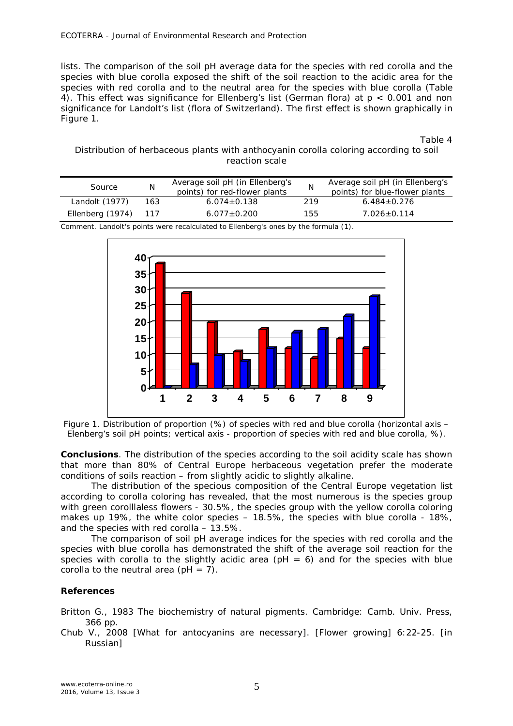lists. The comparison of the soil pH average data for the species with red corolla and the species with blue corolla exposed the shift of the soil reaction to the acidic area for the species with red corolla and to the neutral area for the species with blue corolla (Table 4). This effect was significance for Ellenberg's list (German flora) at p < 0.001 and non significance for Landolt's list (flora of Switzerland). The first effect is shown graphically in Figure 1.

Table 4

## Distribution of herbaceous plants with anthocyanin corolla coloring according to soil reaction scale

| Source               | N   | Average soil pH (in Ellenberg's<br>points) for red-flower plants |     | Average soil pH (in Ellenberg's<br>points) for blue-flower plants |
|----------------------|-----|------------------------------------------------------------------|-----|-------------------------------------------------------------------|
| Landolt (1977)       | 163 | $6.074 \pm 0.138$                                                | 219 | $6.484 + 0.276$                                                   |
| Ellenberg (1974) 117 |     | $6.077 + 0.200$                                                  | 155 | $7.026 \pm 0.114$                                                 |

Comment. Landolt's points were recalculated to Ellenberg's ones by the formula (1).



Figure 1. Distribution of proportion (%) of species with red and blue corolla (horizontal axis – Elenberg's soil pH points; vertical axis - proportion of species with red and blue corolla, %).

**Conclusions**. The distribution of the species according to the soil acidity scale has shown that more than 80% of Central Europe herbaceous vegetation prefer the moderate conditions of soils reaction – from slightly acidic to slightly alkaline.

The distribution of the specious composition of the Central Europe vegetation list according to corolla coloring has revealed, that the most numerous is the species group with green corolllaless flowers - 30.5%, the species group with the yellow corolla coloring makes up 19%, the white color species – 18.5%, the species with blue corolla - 18%, and the species with red corolla – 13.5%.

The comparison of soil pH average indices for the species with red corolla and the species with blue corolla has demonstrated the shift of the average soil reaction for the species with corolla to the slightly acidic area ( $pH = 6$ ) and for the species with blue corolla to the neutral area  $(\text{pH} = 7)$ .

## **References**

Britton G., 1983 The biochemistry of natural pigments. Cambridge: Camb. Univ. Press, 366 pp.

Chub V., 2008 [What for antocyanins are necessary]. [Flower growing] 6:22-25. [in Russian]